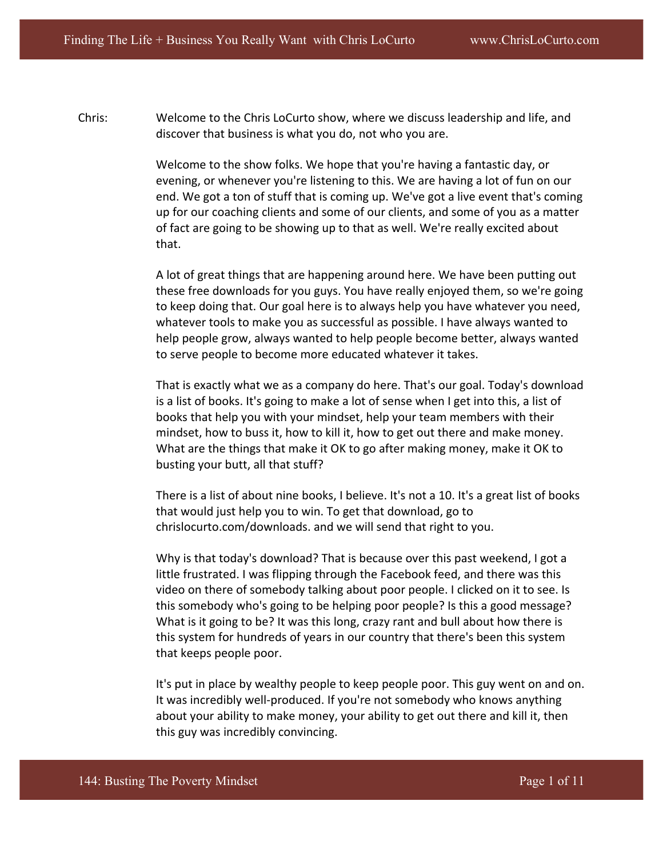Chris: Welcome to the Chris LoCurto show, where we discuss leadership and life, and discover that business is what you do, not who you are.

> Welcome to the show folks. We hope that you're having a fantastic day, or evening, or whenever you're listening to this. We are having a lot of fun on our end. We got a ton of stuff that is coming up. We've got a live event that's coming up for our coaching clients and some of our clients, and some of you as a matter of fact are going to be showing up to that as well. We're really excited about that.

> A lot of great things that are happening around here. We have been putting out these free downloads for you guys. You have really enjoyed them, so we're going to keep doing that. Our goal here is to always help you have whatever you need, whatever tools to make you as successful as possible. I have always wanted to help people grow, always wanted to help people become better, always wanted to serve people to become more educated whatever it takes.

> That is exactly what we as a company do here. That's our goal. Today's download is a list of books. It's going to make a lot of sense when I get into this, a list of books that help you with your mindset, help your team members with their mindset, how to buss it, how to kill it, how to get out there and make money. What are the things that make it OK to go after making money, make it OK to busting your butt, all that stuff?

> There is a list of about nine books, I believe. It's not a 10. It's a great list of books that would just help you to win. To get that download, go to chrislocurto.com/downloads. and we will send that right to you.

Why is that today's download? That is because over this past weekend, I got a little frustrated. I was flipping through the Facebook feed, and there was this video on there of somebody talking about poor people. I clicked on it to see. Is this somebody who's going to be helping poor people? Is this a good message? What is it going to be? It was this long, crazy rant and bull about how there is this system for hundreds of years in our country that there's been this system that keeps people poor.

It's put in place by wealthy people to keep people poor. This guy went on and on. It was incredibly well-produced. If you're not somebody who knows anything about your ability to make money, your ability to get out there and kill it, then this guy was incredibly convincing.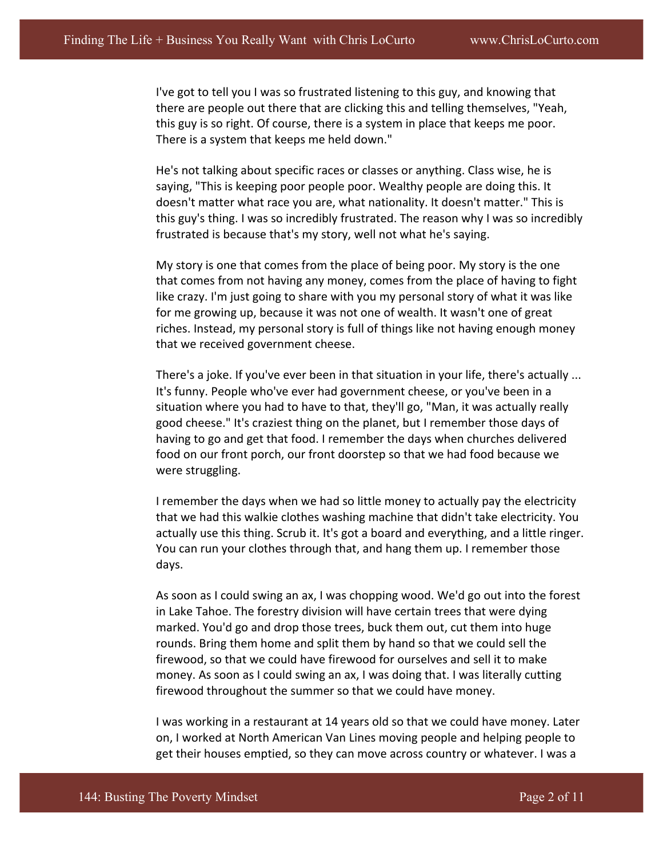I've got to tell you I was so frustrated listening to this guy, and knowing that there are people out there that are clicking this and telling themselves, "Yeah, this guy is so right. Of course, there is a system in place that keeps me poor. There is a system that keeps me held down."

He's not talking about specific races or classes or anything. Class wise, he is saying, "This is keeping poor people poor. Wealthy people are doing this. It doesn't matter what race you are, what nationality. It doesn't matter." This is this guy's thing. I was so incredibly frustrated. The reason why I was so incredibly frustrated is because that's my story, well not what he's saying.

My story is one that comes from the place of being poor. My story is the one that comes from not having any money, comes from the place of having to fight like crazy. I'm just going to share with you my personal story of what it was like for me growing up, because it was not one of wealth. It wasn't one of great riches. Instead, my personal story is full of things like not having enough money that we received government cheese.

There's a joke. If you've ever been in that situation in your life, there's actually ... It's funny. People who've ever had government cheese, or you've been in a situation where you had to have to that, they'll go, "Man, it was actually really good cheese." It's craziest thing on the planet, but I remember those days of having to go and get that food. I remember the days when churches delivered food on our front porch, our front doorstep so that we had food because we were struggling.

I remember the days when we had so little money to actually pay the electricity that we had this walkie clothes washing machine that didn't take electricity. You actually use this thing. Scrub it. It's got a board and everything, and a little ringer. You can run your clothes through that, and hang them up. I remember those days. 

As soon as I could swing an ax, I was chopping wood. We'd go out into the forest in Lake Tahoe. The forestry division will have certain trees that were dying marked. You'd go and drop those trees, buck them out, cut them into huge rounds. Bring them home and split them by hand so that we could sell the firewood, so that we could have firewood for ourselves and sell it to make money. As soon as I could swing an ax, I was doing that. I was literally cutting firewood throughout the summer so that we could have money.

I was working in a restaurant at 14 years old so that we could have money. Later on, I worked at North American Van Lines moving people and helping people to get their houses emptied, so they can move across country or whatever. I was a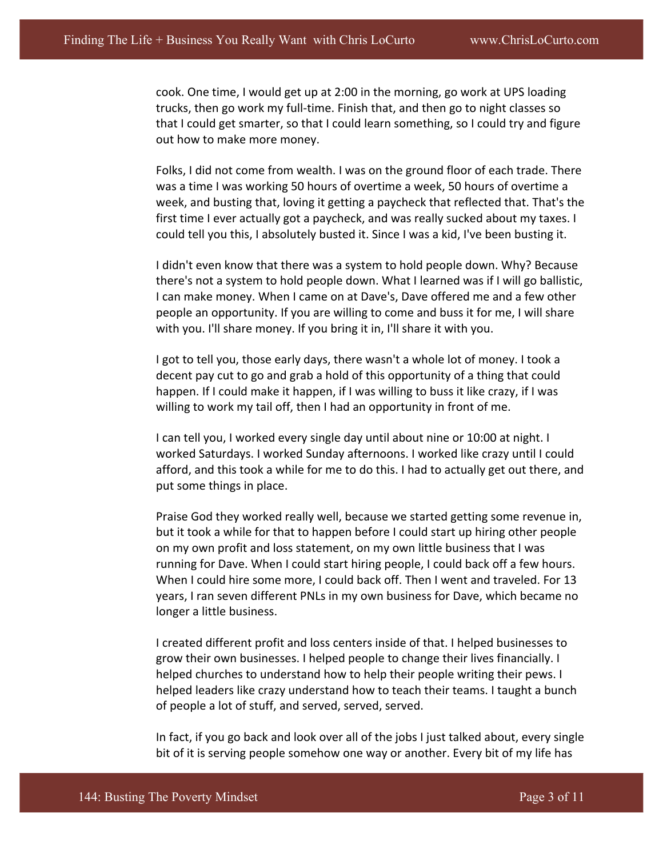cook. One time, I would get up at 2:00 in the morning, go work at UPS loading trucks, then go work my full-time. Finish that, and then go to night classes so that I could get smarter, so that I could learn something, so I could try and figure out how to make more money.

Folks, I did not come from wealth. I was on the ground floor of each trade. There was a time I was working 50 hours of overtime a week, 50 hours of overtime a week, and busting that, loving it getting a paycheck that reflected that. That's the first time I ever actually got a paycheck, and was really sucked about my taxes. I could tell you this, I absolutely busted it. Since I was a kid, I've been busting it.

I didn't even know that there was a system to hold people down. Why? Because there's not a system to hold people down. What I learned was if I will go ballistic, I can make money. When I came on at Dave's, Dave offered me and a few other people an opportunity. If you are willing to come and buss it for me, I will share with you. I'll share money. If you bring it in, I'll share it with you.

I got to tell you, those early days, there wasn't a whole lot of money. I took a decent pay cut to go and grab a hold of this opportunity of a thing that could happen. If I could make it happen, if I was willing to buss it like crazy, if I was willing to work my tail off, then I had an opportunity in front of me.

I can tell you, I worked every single day until about nine or 10:00 at night. I worked Saturdays. I worked Sunday afternoons. I worked like crazy until I could afford, and this took a while for me to do this. I had to actually get out there, and put some things in place.

Praise God they worked really well, because we started getting some revenue in, but it took a while for that to happen before I could start up hiring other people on my own profit and loss statement, on my own little business that I was running for Dave. When I could start hiring people, I could back off a few hours. When I could hire some more, I could back off. Then I went and traveled. For 13 years, I ran seven different PNLs in my own business for Dave, which became no longer a little business.

I created different profit and loss centers inside of that. I helped businesses to grow their own businesses. I helped people to change their lives financially. I helped churches to understand how to help their people writing their pews. I helped leaders like crazy understand how to teach their teams. I taught a bunch of people a lot of stuff, and served, served, served.

In fact, if you go back and look over all of the jobs I just talked about, every single bit of it is serving people somehow one way or another. Every bit of my life has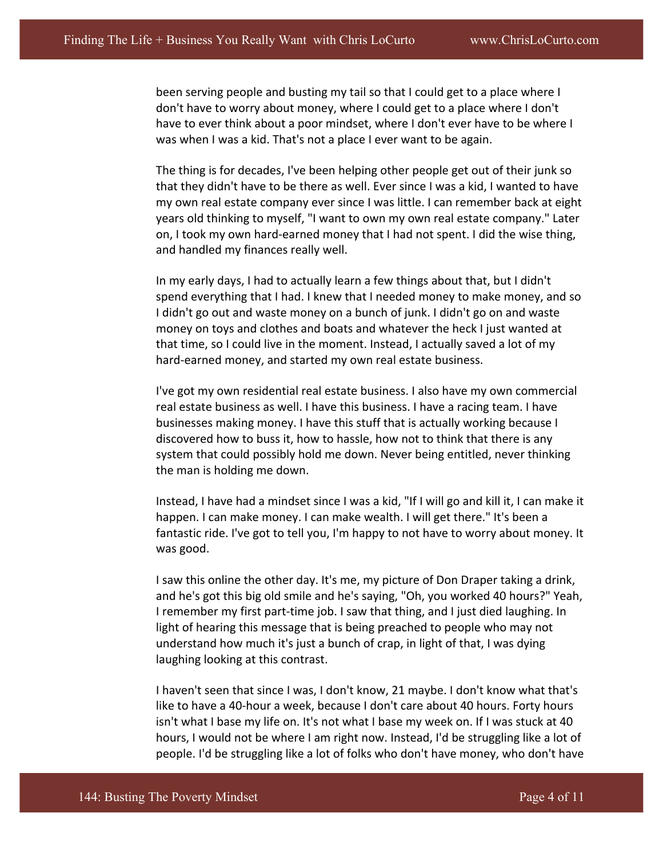been serving people and busting my tail so that I could get to a place where I don't have to worry about money, where I could get to a place where I don't have to ever think about a poor mindset, where I don't ever have to be where I was when I was a kid. That's not a place I ever want to be again.

The thing is for decades, I've been helping other people get out of their junk so that they didn't have to be there as well. Ever since I was a kid, I wanted to have my own real estate company ever since I was little. I can remember back at eight years old thinking to myself, "I want to own my own real estate company." Later on, I took my own hard-earned money that I had not spent. I did the wise thing, and handled my finances really well.

In my early days, I had to actually learn a few things about that, but I didn't spend everything that I had. I knew that I needed money to make money, and so I didn't go out and waste money on a bunch of junk. I didn't go on and waste money on toys and clothes and boats and whatever the heck I just wanted at that time, so I could live in the moment. Instead, I actually saved a lot of my hard-earned money, and started my own real estate business.

I've got my own residential real estate business. I also have my own commercial real estate business as well. I have this business. I have a racing team. I have businesses making money. I have this stuff that is actually working because I discovered how to buss it, how to hassle, how not to think that there is any system that could possibly hold me down. Never being entitled, never thinking the man is holding me down.

Instead, I have had a mindset since I was a kid, "If I will go and kill it, I can make it happen. I can make money. I can make wealth. I will get there." It's been a fantastic ride. I've got to tell you, I'm happy to not have to worry about money. It was good.

I saw this online the other day. It's me, my picture of Don Draper taking a drink, and he's got this big old smile and he's saying, "Oh, you worked 40 hours?" Yeah, I remember my first part-time job. I saw that thing, and I just died laughing. In light of hearing this message that is being preached to people who may not understand how much it's just a bunch of crap, in light of that, I was dying laughing looking at this contrast.

I haven't seen that since I was, I don't know, 21 maybe. I don't know what that's like to have a 40-hour a week, because I don't care about 40 hours. Forty hours isn't what I base my life on. It's not what I base my week on. If I was stuck at 40 hours, I would not be where I am right now. Instead, I'd be struggling like a lot of people. I'd be struggling like a lot of folks who don't have money, who don't have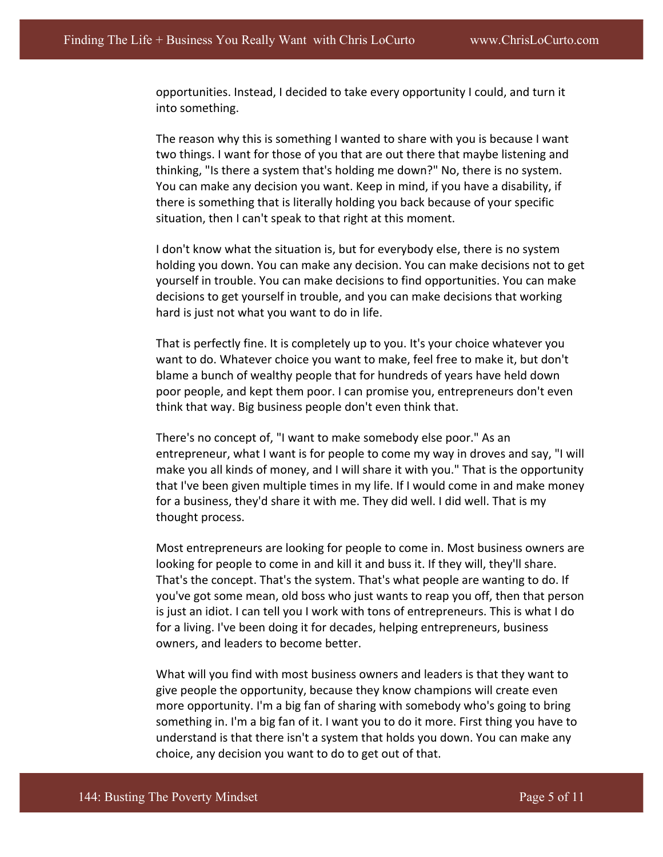opportunities. Instead, I decided to take every opportunity I could, and turn it into something.

The reason why this is something I wanted to share with you is because I want two things. I want for those of you that are out there that maybe listening and thinking, "Is there a system that's holding me down?" No, there is no system. You can make any decision you want. Keep in mind, if you have a disability, if there is something that is literally holding you back because of your specific situation, then I can't speak to that right at this moment.

I don't know what the situation is, but for everybody else, there is no system holding you down. You can make any decision. You can make decisions not to get yourself in trouble. You can make decisions to find opportunities. You can make decisions to get yourself in trouble, and you can make decisions that working hard is just not what you want to do in life.

That is perfectly fine. It is completely up to you. It's your choice whatever you want to do. Whatever choice you want to make, feel free to make it, but don't blame a bunch of wealthy people that for hundreds of years have held down poor people, and kept them poor. I can promise you, entrepreneurs don't even think that way. Big business people don't even think that.

There's no concept of, "I want to make somebody else poor." As an entrepreneur, what I want is for people to come my way in droves and say, "I will make you all kinds of money, and I will share it with you." That is the opportunity that I've been given multiple times in my life. If I would come in and make money for a business, they'd share it with me. They did well. I did well. That is my thought process.

Most entrepreneurs are looking for people to come in. Most business owners are looking for people to come in and kill it and buss it. If they will, they'll share. That's the concept. That's the system. That's what people are wanting to do. If you've got some mean, old boss who just wants to reap you off, then that person is just an idiot. I can tell you I work with tons of entrepreneurs. This is what I do for a living. I've been doing it for decades, helping entrepreneurs, business owners, and leaders to become better.

What will you find with most business owners and leaders is that they want to give people the opportunity, because they know champions will create even more opportunity. I'm a big fan of sharing with somebody who's going to bring something in. I'm a big fan of it. I want you to do it more. First thing you have to understand is that there isn't a system that holds you down. You can make any choice, any decision you want to do to get out of that.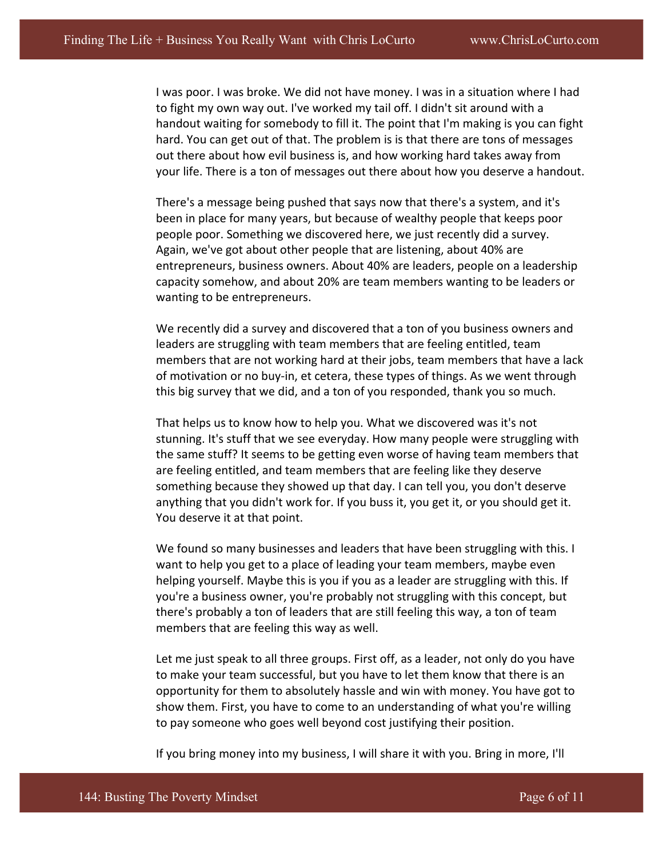I was poor. I was broke. We did not have money. I was in a situation where I had to fight my own way out. I've worked my tail off. I didn't sit around with a handout waiting for somebody to fill it. The point that I'm making is you can fight hard. You can get out of that. The problem is is that there are tons of messages out there about how evil business is, and how working hard takes away from your life. There is a ton of messages out there about how you deserve a handout.

There's a message being pushed that says now that there's a system, and it's been in place for many years, but because of wealthy people that keeps poor people poor. Something we discovered here, we just recently did a survey. Again, we've got about other people that are listening, about 40% are entrepreneurs, business owners. About 40% are leaders, people on a leadership capacity somehow, and about 20% are team members wanting to be leaders or wanting to be entrepreneurs.

We recently did a survey and discovered that a ton of you business owners and leaders are struggling with team members that are feeling entitled, team members that are not working hard at their jobs, team members that have a lack of motivation or no buy-in, et cetera, these types of things. As we went through this big survey that we did, and a ton of you responded, thank you so much.

That helps us to know how to help you. What we discovered was it's not stunning. It's stuff that we see everyday. How many people were struggling with the same stuff? It seems to be getting even worse of having team members that are feeling entitled, and team members that are feeling like they deserve something because they showed up that day. I can tell you, you don't deserve anything that you didn't work for. If you buss it, you get it, or you should get it. You deserve it at that point.

We found so many businesses and leaders that have been struggling with this. I want to help you get to a place of leading your team members, maybe even helping yourself. Maybe this is you if you as a leader are struggling with this. If you're a business owner, you're probably not struggling with this concept, but there's probably a ton of leaders that are still feeling this way, a ton of team members that are feeling this way as well.

Let me just speak to all three groups. First off, as a leader, not only do you have to make your team successful, but you have to let them know that there is an opportunity for them to absolutely hassle and win with money. You have got to show them. First, you have to come to an understanding of what you're willing to pay someone who goes well beyond cost justifying their position.

If you bring money into my business, I will share it with you. Bring in more, I'll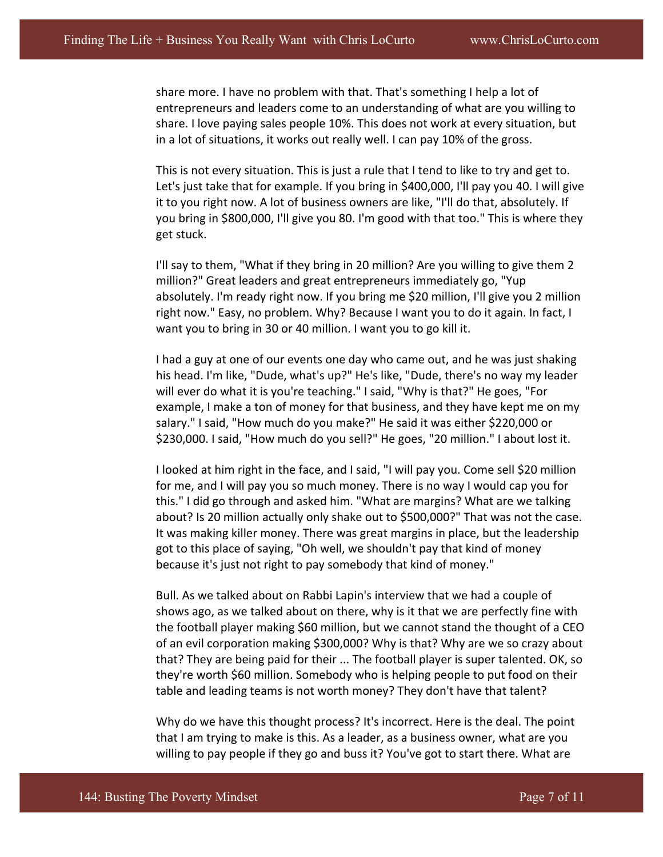share more. I have no problem with that. That's something I help a lot of entrepreneurs and leaders come to an understanding of what are you willing to share. I love paying sales people 10%. This does not work at every situation, but in a lot of situations, it works out really well. I can pay 10% of the gross.

This is not every situation. This is just a rule that I tend to like to try and get to. Let's just take that for example. If you bring in \$400,000, I'll pay you 40. I will give it to you right now. A lot of business owners are like, "I'll do that, absolutely. If you bring in \$800,000, I'll give you 80. I'm good with that too." This is where they get stuck.

I'll say to them, "What if they bring in 20 million? Are you willing to give them 2 million?" Great leaders and great entrepreneurs immediately go, "Yup absolutely. I'm ready right now. If you bring me \$20 million, I'll give you 2 million right now." Easy, no problem. Why? Because I want you to do it again. In fact, I want you to bring in 30 or 40 million. I want you to go kill it.

I had a guy at one of our events one day who came out, and he was just shaking his head. I'm like, "Dude, what's up?" He's like, "Dude, there's no way my leader will ever do what it is you're teaching." I said, "Why is that?" He goes, "For example, I make a ton of money for that business, and they have kept me on my salary." I said, "How much do you make?" He said it was either \$220,000 or \$230,000. I said, "How much do you sell?" He goes, "20 million." I about lost it.

I looked at him right in the face, and I said, "I will pay you. Come sell \$20 million for me, and I will pay you so much money. There is no way I would cap you for this." I did go through and asked him. "What are margins? What are we talking about? Is 20 million actually only shake out to \$500,000?" That was not the case. It was making killer money. There was great margins in place, but the leadership got to this place of saying, "Oh well, we shouldn't pay that kind of money because it's just not right to pay somebody that kind of money."

Bull. As we talked about on Rabbi Lapin's interview that we had a couple of shows ago, as we talked about on there, why is it that we are perfectly fine with the football player making \$60 million, but we cannot stand the thought of a CEO of an evil corporation making \$300,000? Why is that? Why are we so crazy about that? They are being paid for their ... The football player is super talented. OK, so they're worth \$60 million. Somebody who is helping people to put food on their table and leading teams is not worth money? They don't have that talent?

Why do we have this thought process? It's incorrect. Here is the deal. The point that I am trying to make is this. As a leader, as a business owner, what are you willing to pay people if they go and buss it? You've got to start there. What are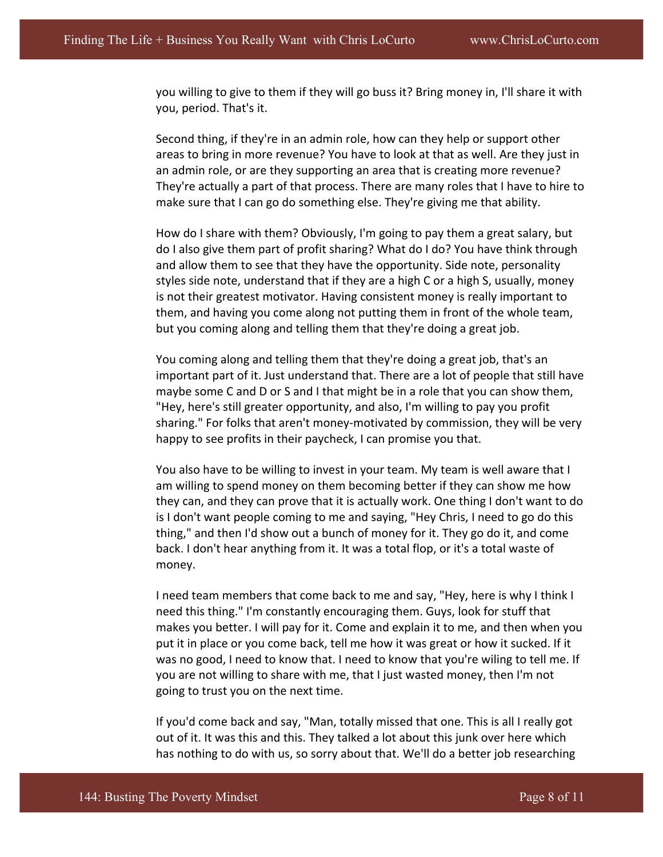you willing to give to them if they will go buss it? Bring money in, I'll share it with you, period. That's it.

Second thing, if they're in an admin role, how can they help or support other areas to bring in more revenue? You have to look at that as well. Are they just in an admin role, or are they supporting an area that is creating more revenue? They're actually a part of that process. There are many roles that I have to hire to make sure that I can go do something else. They're giving me that ability.

How do I share with them? Obviously, I'm going to pay them a great salary, but do I also give them part of profit sharing? What do I do? You have think through and allow them to see that they have the opportunity. Side note, personality styles side note, understand that if they are a high C or a high S, usually, money is not their greatest motivator. Having consistent money is really important to them, and having you come along not putting them in front of the whole team, but you coming along and telling them that they're doing a great job.

You coming along and telling them that they're doing a great job, that's an important part of it. Just understand that. There are a lot of people that still have maybe some C and D or S and I that might be in a role that you can show them, "Hey, here's still greater opportunity, and also, I'm willing to pay you profit sharing." For folks that aren't money-motivated by commission, they will be very happy to see profits in their paycheck, I can promise you that.

You also have to be willing to invest in your team. My team is well aware that I am willing to spend money on them becoming better if they can show me how they can, and they can prove that it is actually work. One thing I don't want to do is I don't want people coming to me and saying, "Hey Chris, I need to go do this thing," and then I'd show out a bunch of money for it. They go do it, and come back. I don't hear anything from it. It was a total flop, or it's a total waste of money. 

I need team members that come back to me and say, "Hey, here is why I think I need this thing." I'm constantly encouraging them. Guys, look for stuff that makes you better. I will pay for it. Come and explain it to me, and then when you put it in place or you come back, tell me how it was great or how it sucked. If it was no good, I need to know that. I need to know that you're wiling to tell me. If you are not willing to share with me, that I just wasted money, then I'm not going to trust you on the next time.

If you'd come back and say, "Man, totally missed that one. This is all I really got out of it. It was this and this. They talked a lot about this junk over here which has nothing to do with us, so sorry about that. We'll do a better job researching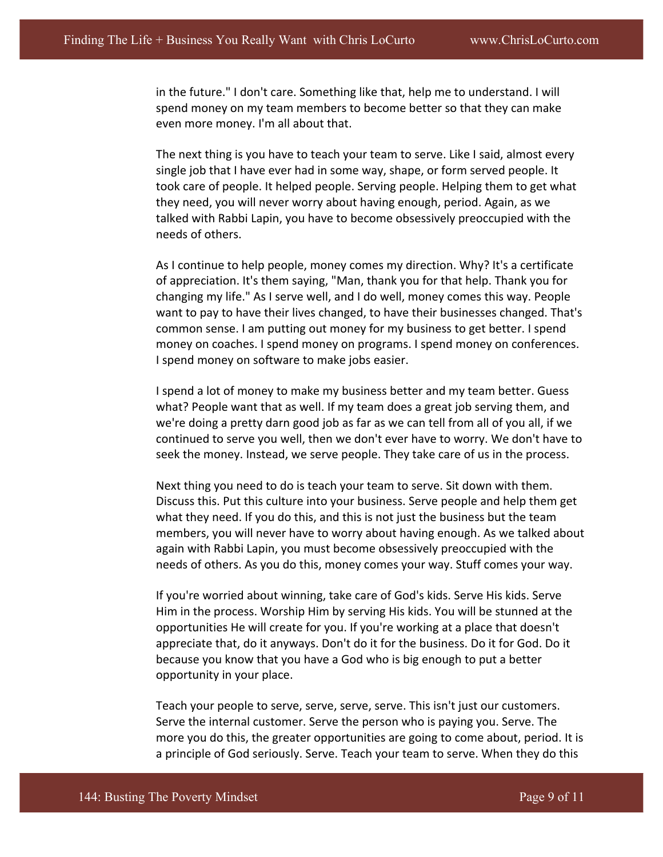in the future." I don't care. Something like that, help me to understand. I will spend money on my team members to become better so that they can make even more money. I'm all about that.

The next thing is you have to teach your team to serve. Like I said, almost every single job that I have ever had in some way, shape, or form served people. It took care of people. It helped people. Serving people. Helping them to get what they need, you will never worry about having enough, period. Again, as we talked with Rabbi Lapin, you have to become obsessively preoccupied with the needs of others.

As I continue to help people, money comes my direction. Why? It's a certificate of appreciation. It's them saying, "Man, thank you for that help. Thank you for changing my life." As I serve well, and I do well, money comes this way. People want to pay to have their lives changed, to have their businesses changed. That's common sense. I am putting out money for my business to get better. I spend money on coaches. I spend money on programs. I spend money on conferences. I spend money on software to make jobs easier.

I spend a lot of money to make my business better and my team better. Guess what? People want that as well. If my team does a great job serving them, and we're doing a pretty darn good job as far as we can tell from all of you all, if we continued to serve you well, then we don't ever have to worry. We don't have to seek the money. Instead, we serve people. They take care of us in the process.

Next thing you need to do is teach your team to serve. Sit down with them. Discuss this. Put this culture into your business. Serve people and help them get what they need. If you do this, and this is not just the business but the team members, you will never have to worry about having enough. As we talked about again with Rabbi Lapin, you must become obsessively preoccupied with the needs of others. As you do this, money comes your way. Stuff comes your way.

If you're worried about winning, take care of God's kids. Serve His kids. Serve Him in the process. Worship Him by serving His kids. You will be stunned at the opportunities He will create for you. If you're working at a place that doesn't appreciate that, do it anyways. Don't do it for the business. Do it for God. Do it because you know that you have a God who is big enough to put a better opportunity in your place.

Teach your people to serve, serve, serve, serve. This isn't just our customers. Serve the internal customer. Serve the person who is paying you. Serve. The more you do this, the greater opportunities are going to come about, period. It is a principle of God seriously. Serve. Teach your team to serve. When they do this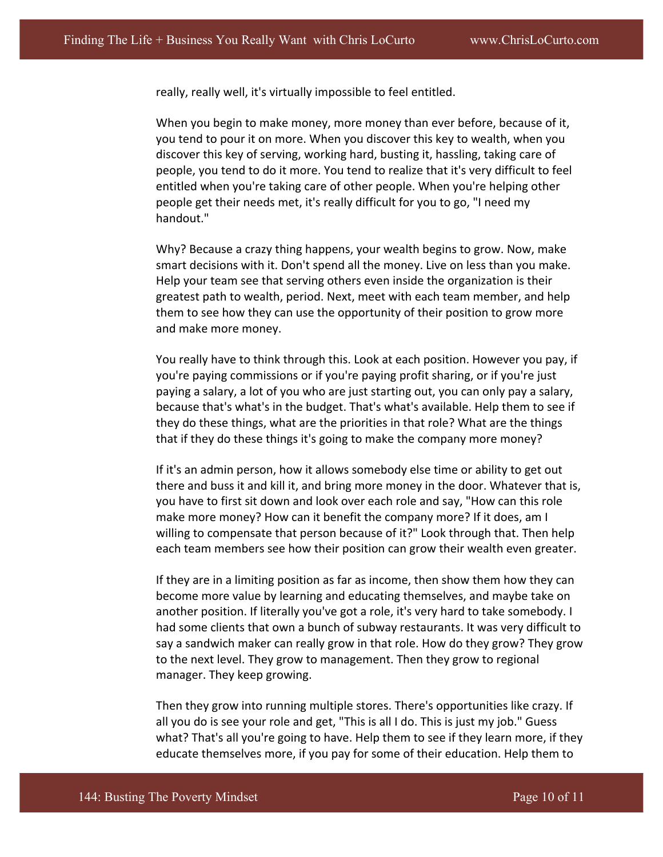really, really well, it's virtually impossible to feel entitled.

When you begin to make money, more money than ever before, because of it, you tend to pour it on more. When you discover this key to wealth, when you discover this key of serving, working hard, busting it, hassling, taking care of people, you tend to do it more. You tend to realize that it's very difficult to feel entitled when you're taking care of other people. When you're helping other people get their needs met, it's really difficult for you to go, "I need my handout." 

Why? Because a crazy thing happens, your wealth begins to grow. Now, make smart decisions with it. Don't spend all the money. Live on less than you make. Help your team see that serving others even inside the organization is their greatest path to wealth, period. Next, meet with each team member, and help them to see how they can use the opportunity of their position to grow more and make more money.

You really have to think through this. Look at each position. However you pay, if you're paying commissions or if you're paying profit sharing, or if you're just paying a salary, a lot of you who are just starting out, you can only pay a salary, because that's what's in the budget. That's what's available. Help them to see if they do these things, what are the priorities in that role? What are the things that if they do these things it's going to make the company more money?

If it's an admin person, how it allows somebody else time or ability to get out there and buss it and kill it, and bring more money in the door. Whatever that is, you have to first sit down and look over each role and say, "How can this role make more money? How can it benefit the company more? If it does, am I willing to compensate that person because of it?" Look through that. Then help each team members see how their position can grow their wealth even greater.

If they are in a limiting position as far as income, then show them how they can become more value by learning and educating themselves, and maybe take on another position. If literally you've got a role, it's very hard to take somebody. I had some clients that own a bunch of subway restaurants. It was very difficult to say a sandwich maker can really grow in that role. How do they grow? They grow to the next level. They grow to management. Then they grow to regional manager. They keep growing.

Then they grow into running multiple stores. There's opportunities like crazy. If all you do is see your role and get, "This is all I do. This is just my job." Guess what? That's all you're going to have. Help them to see if they learn more, if they educate themselves more, if you pay for some of their education. Help them to